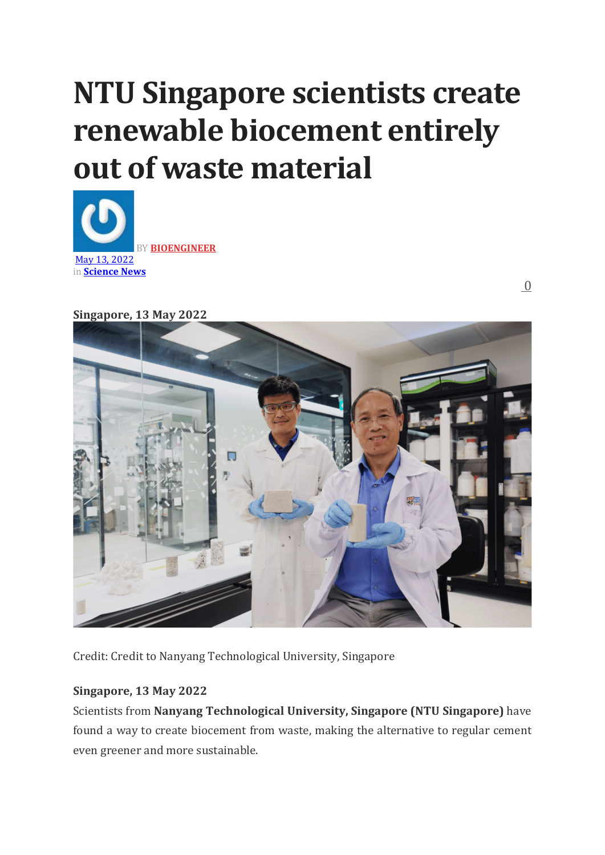# **NTU Singapore scientists create renewable biocement entirely out of waste material**



 [0](https://bioengineer.org/ntu-singapore-scientists-create-renewable-biocement-entirely-out-of-waste-material/#comments)

**Singapore, 13 May 2022**



Credit: Credit to Nanyang Technological University, Singapore

## **Singapore, 13 May 2022**

Scientists from **Nanyang Technological University, Singapore (NTU Singapore)** have found a way to create biocement from waste, making the alternative to regular cement even greener and more sustainable.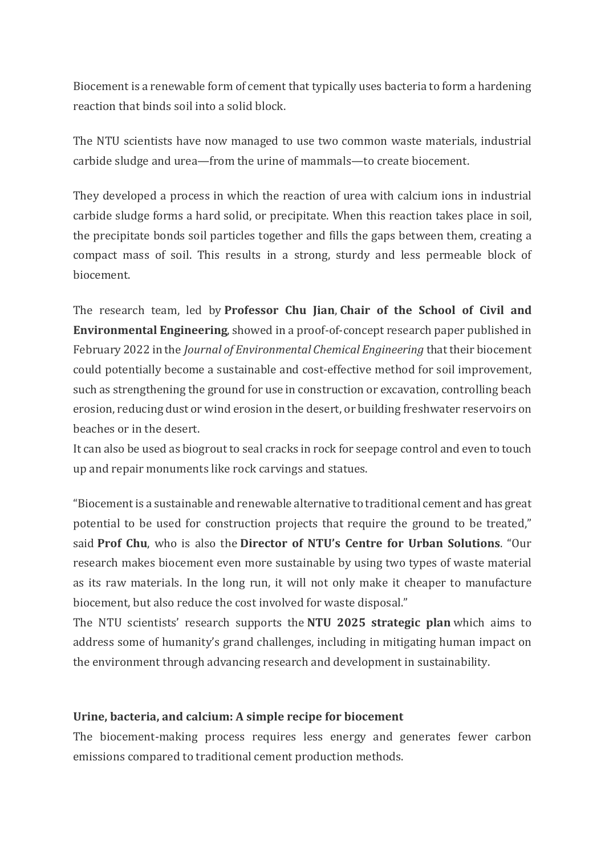Biocement is a renewable form of cement that typically uses bacteria to form a hardening reaction that binds soil into a solid block.

The NTU scientists have now managed to use two common waste materials, industrial carbide sludge and urea—from the urine of mammals—to create biocement.

They developed a process in which the reaction of urea with calcium ions in industrial carbide sludge forms a hard solid, or precipitate. When this reaction takes place in soil, the precipitate bonds soil particles together and fills the gaps between them, creating a compact mass of soil. This results in a strong, sturdy and less permeable block of biocement.

The research team, led by **Professor Chu Jian**, **Chair of the School of Civil and Environmental Engineering**, showed in a proof-of-concept research paper published in February 2022 in the *Journal of Environmental Chemical Engineering* that their biocement could potentially become a sustainable and cost-effective method for soil improvement, such as strengthening the ground for use in construction or excavation, controlling beach erosion, reducing dust or wind erosion in the desert, or building freshwater reservoirs on beaches or in the desert.

It can also be used as biogrout to seal cracks in rock for seepage control and even to touch up and repair monuments like rock carvings and statues.

"Biocement is a sustainable and renewable alternative to traditional cement and has great potential to be used for construction projects that require the ground to be treated," said **Prof Chu**, who is also the **Director of NTU's Centre for Urban Solutions**. "Our research makes biocement even more sustainable by using two types of waste material as its raw materials. In the long run, it will not only make it cheaper to manufacture biocement, but also reduce the cost involved for waste disposal."

The NTU scientists' research supports the **NTU 2025 strategic plan** which aims to address some of humanity's grand challenges, including in mitigating human impact on the environment through advancing research and development in sustainability.

## **Urine, bacteria, and calcium: A simple recipe for biocement**

The biocement-making process requires less energy and generates fewer carbon emissions compared to traditional cement production methods.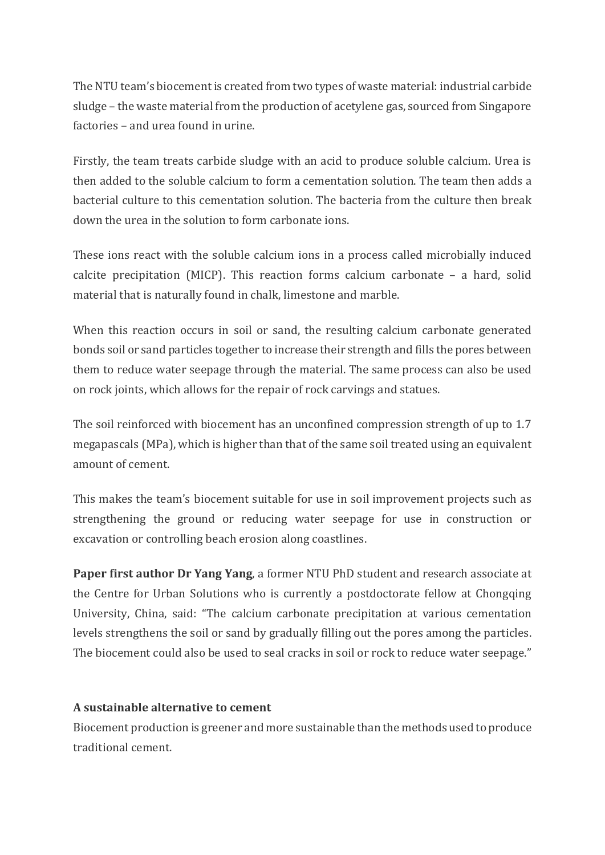The NTU team's biocement is created from two types of waste material: industrial carbide sludge – the waste material from the production of acetylene gas, sourced from Singapore factories – and urea found in urine.

Firstly, the team treats carbide sludge with an acid to produce soluble calcium. Urea is then added to the soluble calcium to form a cementation solution. The team then adds a bacterial culture to this cementation solution. The bacteria from the culture then break down the urea in the solution to form carbonate ions.

These ions react with the soluble calcium ions in a process called microbially induced calcite precipitation (MICP). This reaction forms calcium carbonate – a hard, solid material that is naturally found in chalk, limestone and marble.

When this reaction occurs in soil or sand, the resulting calcium carbonate generated bonds soil or sand particles together to increase their strength and fills the pores between them to reduce water seepage through the material. The same process can also be used on rock joints, which allows for the repair of rock carvings and statues.

The soil reinforced with biocement has an unconfined compression strength of up to 1.7 megapascals (MPa), which is higher than that of the same soil treated using an equivalent amount of cement.

This makes the team's biocement suitable for use in soil improvement projects such as strengthening the ground or reducing water seepage for use in construction or excavation or controlling beach erosion along coastlines.

**Paper first author Dr Yang Yang**, a former NTU PhD student and research associate at the Centre for Urban Solutions who is currently a postdoctorate fellow at Chongqing University, China, said: "The calcium carbonate precipitation at various cementation levels strengthens the soil or sand by gradually filling out the pores among the particles. The biocement could also be used to seal cracks in soil or rock to reduce water seepage."

## **A sustainable alternative to cement**

Biocement production is greener and more sustainable than the methods used to produce traditional cement.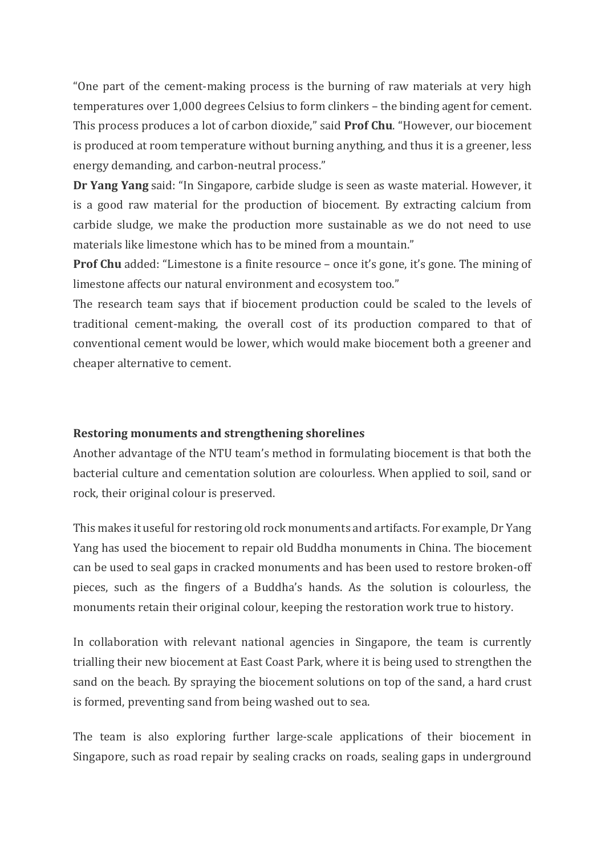"One part of the cement-making process is the burning of raw materials at very high temperatures over 1,000 degrees Celsius to form clinkers – the binding agent for cement. This process produces a lot of carbon dioxide," said **Prof Chu**. "However, our biocement is produced at room temperature without burning anything, and thus it is a greener, less energy demanding, and carbon-neutral process."

**Dr Yang Yang** said: "In Singapore, carbide sludge is seen as waste material. However, it is a good raw material for the production of biocement. By extracting calcium from carbide sludge, we make the production more sustainable as we do not need to use materials like limestone which has to be mined from a mountain."

**Prof Chu** added: "Limestone is a finite resource – once it's gone, it's gone. The mining of limestone affects our natural environment and ecosystem too."

The research team says that if biocement production could be scaled to the levels of traditional cement-making, the overall cost of its production compared to that of conventional cement would be lower, which would make biocement both a greener and cheaper alternative to cement.

### **Restoring monuments and strengthening shorelines**

Another advantage of the NTU team's method in formulating biocement is that both the bacterial culture and cementation solution are colourless. When applied to soil, sand or rock, their original colour is preserved.

This makes it useful for restoring old rock monuments and artifacts. For example, Dr Yang Yang has used the biocement to repair old Buddha monuments in China. The biocement can be used to seal gaps in cracked monuments and has been used to restore broken-off pieces, such as the fingers of a Buddha's hands. As the solution is colourless, the monuments retain their original colour, keeping the restoration work true to history.

In collaboration with relevant national agencies in Singapore, the team is currently trialling their new biocement at East Coast Park, where it is being used to strengthen the sand on the beach. By spraying the biocement solutions on top of the sand, a hard crust is formed, preventing sand from being washed out to sea.

The team is also exploring further large-scale applications of their biocement in Singapore, such as road repair by sealing cracks on roads, sealing gaps in underground